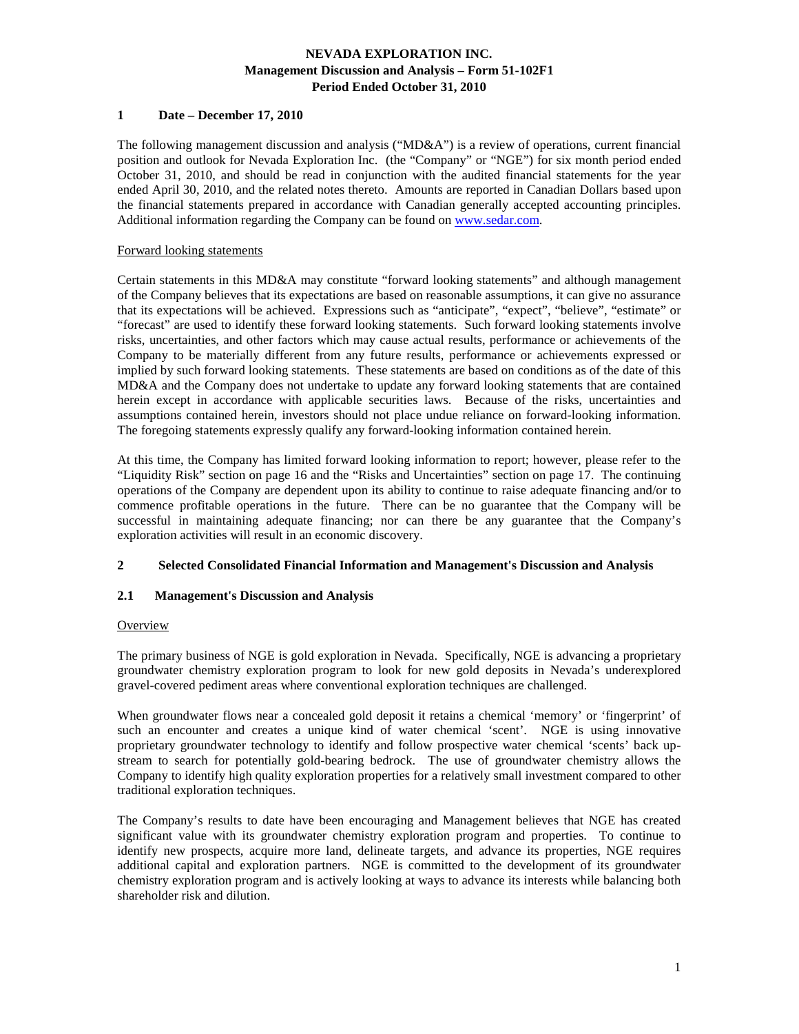### **1 Date – December 17, 2010**

The following management discussion and analysis (" $MD&A$ ") is a review of operations, current financial position and outlook for Nevada Exploration Inc. (the "Company" or "NGE") for six month period ended October 31, 2010, and should be read in conjunction with the audited financial statements for the year ended April 30, 2010, and the related notes thereto. Amounts are reported in Canadian Dollars based upon the financial statements prepared in accordance with Canadian generally accepted accounting principles. Additional information regarding the Company can be found on www.sedar.com.

### Forward looking statements

Certain statements in this MD&A may constitute "forward looking statements" and although management of the Company believes that its expectations are based on reasonable assumptions, it can give no assurance that its expectations will be achieved. Expressions such as "anticipate", "expect", "believe", "estimate" or "forecast" are used to identify these forward looking statements. Such forward looking statements involve risks, uncertainties, and other factors which may cause actual results, performance or achievements of the Company to be materially different from any future results, performance or achievements expressed or implied by such forward looking statements. These statements are based on conditions as of the date of this MD&A and the Company does not undertake to update any forward looking statements that are contained herein except in accordance with applicable securities laws. Because of the risks, uncertainties and assumptions contained herein, investors should not place undue reliance on forward-looking information. The foregoing statements expressly qualify any forward-looking information contained herein.

At this time, the Company has limited forward looking information to report; however, please refer to the "Liquidity Risk" section on page 16 and the "Risks and Uncertainties" section on page 17. The continuing operations of the Company are dependent upon its ability to continue to raise adequate financing and/or to commence profitable operations in the future. There can be no guarantee that the Company will be successful in maintaining adequate financing; nor can there be any guarantee that the Company's exploration activities will result in an economic discovery.

### **2 Selected Consolidated Financial Information and Management's Discussion and Analysis**

### **2.1 Management's Discussion and Analysis**

### **Overview**

The primary business of NGE is gold exploration in Nevada. Specifically, NGE is advancing a proprietary groundwater chemistry exploration program to look for new gold deposits in Nevada's underexplored gravel-covered pediment areas where conventional exploration techniques are challenged.

When groundwater flows near a concealed gold deposit it retains a chemical 'memory' or 'fingerprint' of such an encounter and creates a unique kind of water chemical 'scent'. NGE is using innovative proprietary groundwater technology to identify and follow prospective water chemical 'scents' back upstream to search for potentially gold-bearing bedrock. The use of groundwater chemistry allows the Company to identify high quality exploration properties for a relatively small investment compared to other traditional exploration techniques.

The Company's results to date have been encouraging and Management believes that NGE has created significant value with its groundwater chemistry exploration program and properties. To continue to identify new prospects, acquire more land, delineate targets, and advance its properties, NGE requires additional capital and exploration partners. NGE is committed to the development of its groundwater chemistry exploration program and is actively looking at ways to advance its interests while balancing both shareholder risk and dilution.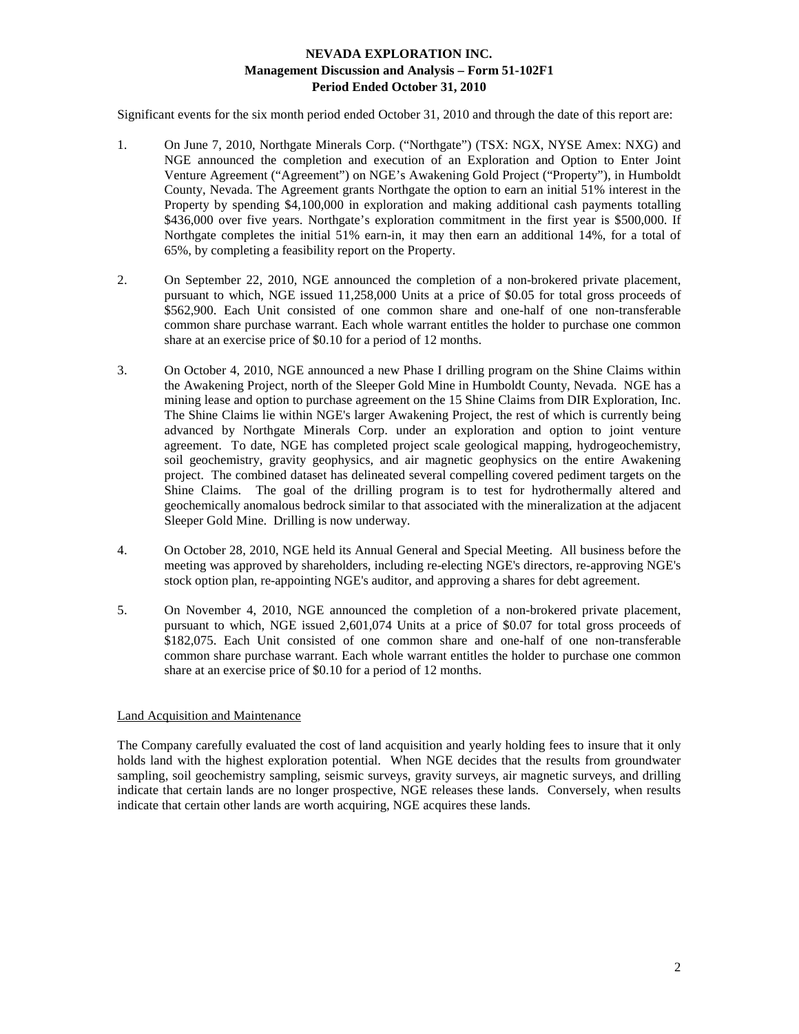Significant events for the six month period ended October 31, 2010 and through the date of this report are:

- 1. On June 7, 2010, Northgate Minerals Corp. ("Northgate") (TSX: NGX, NYSE Amex: NXG) and NGE announced the completion and execution of an Exploration and Option to Enter Joint Venture Agreement ("Agreement") on NGE's Awakening Gold Project ("Property"), in Humboldt County, Nevada. The Agreement grants Northgate the option to earn an initial 51% interest in the Property by spending \$4,100,000 in exploration and making additional cash payments totalling \$436,000 over five years. Northgate's exploration commitment in the first year is \$500,000. If Northgate completes the initial 51% earn-in, it may then earn an additional 14%, for a total of 65%, by completing a feasibility report on the Property.
- 2. On September 22, 2010, NGE announced the completion of a non-brokered private placement, pursuant to which, NGE issued 11,258,000 Units at a price of \$0.05 for total gross proceeds of \$562,900. Each Unit consisted of one common share and one-half of one non-transferable common share purchase warrant. Each whole warrant entitles the holder to purchase one common share at an exercise price of \$0.10 for a period of 12 months.
- 3. On October 4, 2010, NGE announced a new Phase I drilling program on the Shine Claims within the Awakening Project, north of the Sleeper Gold Mine in Humboldt County, Nevada. NGE has a mining lease and option to purchase agreement on the 15 Shine Claims from DIR Exploration, Inc. The Shine Claims lie within NGE's larger Awakening Project, the rest of which is currently being advanced by Northgate Minerals Corp. under an exploration and option to joint venture agreement. To date, NGE has completed project scale geological mapping, hydrogeochemistry, soil geochemistry, gravity geophysics, and air magnetic geophysics on the entire Awakening project. The combined dataset has delineated several compelling covered pediment targets on the Shine Claims. The goal of the drilling program is to test for hydrothermally altered and geochemically anomalous bedrock similar to that associated with the mineralization at the adjacent Sleeper Gold Mine. Drilling is now underway.
- 4. On October 28, 2010, NGE held its Annual General and Special Meeting. All business before the meeting was approved by shareholders, including re-electing NGE's directors, re-approving NGE's stock option plan, re-appointing NGE's auditor, and approving a shares for debt agreement.
- 5. On November 4, 2010, NGE announced the completion of a non-brokered private placement, pursuant to which, NGE issued 2,601,074 Units at a price of \$0.07 for total gross proceeds of \$182,075. Each Unit consisted of one common share and one-half of one non-transferable common share purchase warrant. Each whole warrant entitles the holder to purchase one common share at an exercise price of \$0.10 for a period of 12 months.

### Land Acquisition and Maintenance

The Company carefully evaluated the cost of land acquisition and yearly holding fees to insure that it only holds land with the highest exploration potential. When NGE decides that the results from groundwater sampling, soil geochemistry sampling, seismic surveys, gravity surveys, air magnetic surveys, and drilling indicate that certain lands are no longer prospective, NGE releases these lands. Conversely, when results indicate that certain other lands are worth acquiring, NGE acquires these lands.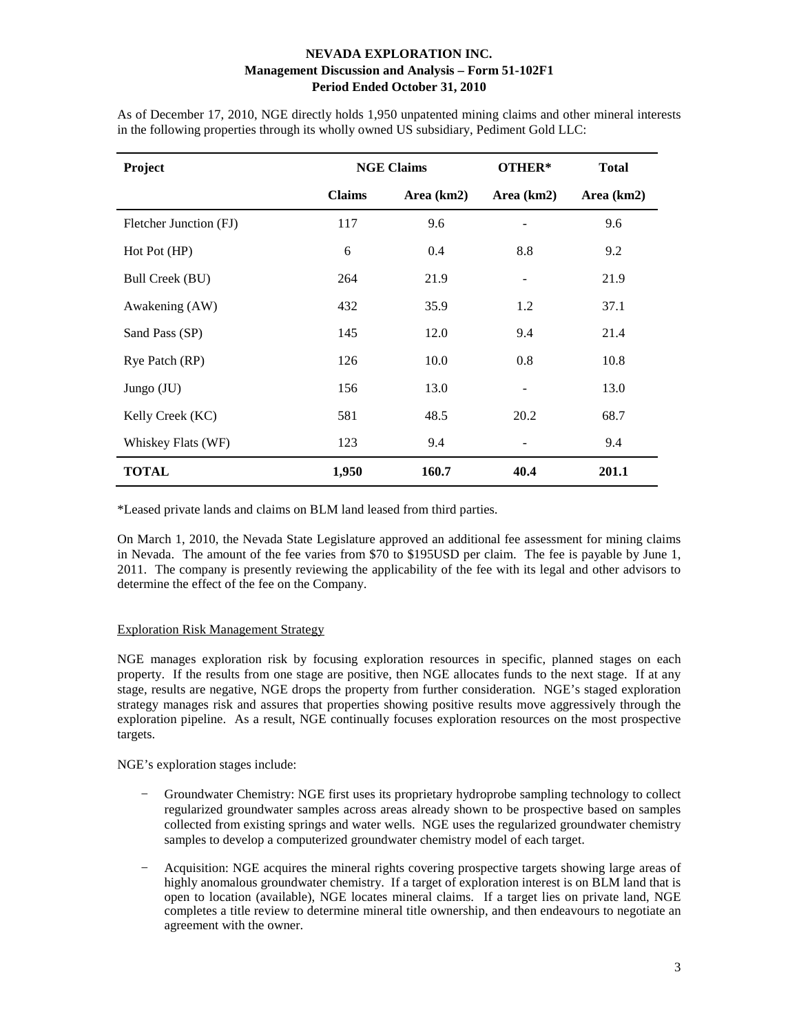| Project                | <b>NGE Claims</b> |            | OTHER*     | <b>Total</b> |
|------------------------|-------------------|------------|------------|--------------|
|                        | <b>Claims</b>     | Area (km2) | Area (km2) | Area (km2)   |
| Fletcher Junction (FJ) | 117               | 9.6        |            | 9.6          |
| Hot Pot (HP)           | 6                 | 0.4        | 8.8        | 9.2          |
| Bull Creek (BU)        | 264               | 21.9       |            | 21.9         |
| Awakening (AW)         | 432               | 35.9       | 1.2        | 37.1         |
| Sand Pass (SP)         | 145               | 12.0       | 9.4        | 21.4         |
| Rye Patch (RP)         | 126               | 10.0       | 0.8        | 10.8         |
| Jungo (JU)             | 156               | 13.0       |            | 13.0         |
| Kelly Creek (KC)       | 581               | 48.5       | 20.2       | 68.7         |
| Whiskey Flats (WF)     | 123               | 9.4        |            | 9.4          |
| TOTAL                  | 1,950             | 160.7      | 40.4       | 201.1        |

As of December 17, 2010, NGE directly holds 1,950 unpatented mining claims and other mineral interests in the following properties through its wholly owned US subsidiary, Pediment Gold LLC:

\*Leased private lands and claims on BLM land leased from third parties.

On March 1, 2010, the Nevada State Legislature approved an additional fee assessment for mining claims in Nevada. The amount of the fee varies from \$70 to \$195USD per claim. The fee is payable by June 1, 2011. The company is presently reviewing the applicability of the fee with its legal and other advisors to determine the effect of the fee on the Company.

### Exploration Risk Management Strategy

NGE manages exploration risk by focusing exploration resources in specific, planned stages on each property. If the results from one stage are positive, then NGE allocates funds to the next stage. If at any stage, results are negative, NGE drops the property from further consideration. NGE's staged exploration strategy manages risk and assures that properties showing positive results move aggressively through the exploration pipeline. As a result, NGE continually focuses exploration resources on the most prospective targets.

NGE's exploration stages include:

- − Groundwater Chemistry: NGE first uses its proprietary hydroprobe sampling technology to collect regularized groundwater samples across areas already shown to be prospective based on samples collected from existing springs and water wells. NGE uses the regularized groundwater chemistry samples to develop a computerized groundwater chemistry model of each target.
- − Acquisition: NGE acquires the mineral rights covering prospective targets showing large areas of highly anomalous groundwater chemistry. If a target of exploration interest is on BLM land that is open to location (available), NGE locates mineral claims. If a target lies on private land, NGE completes a title review to determine mineral title ownership, and then endeavours to negotiate an agreement with the owner.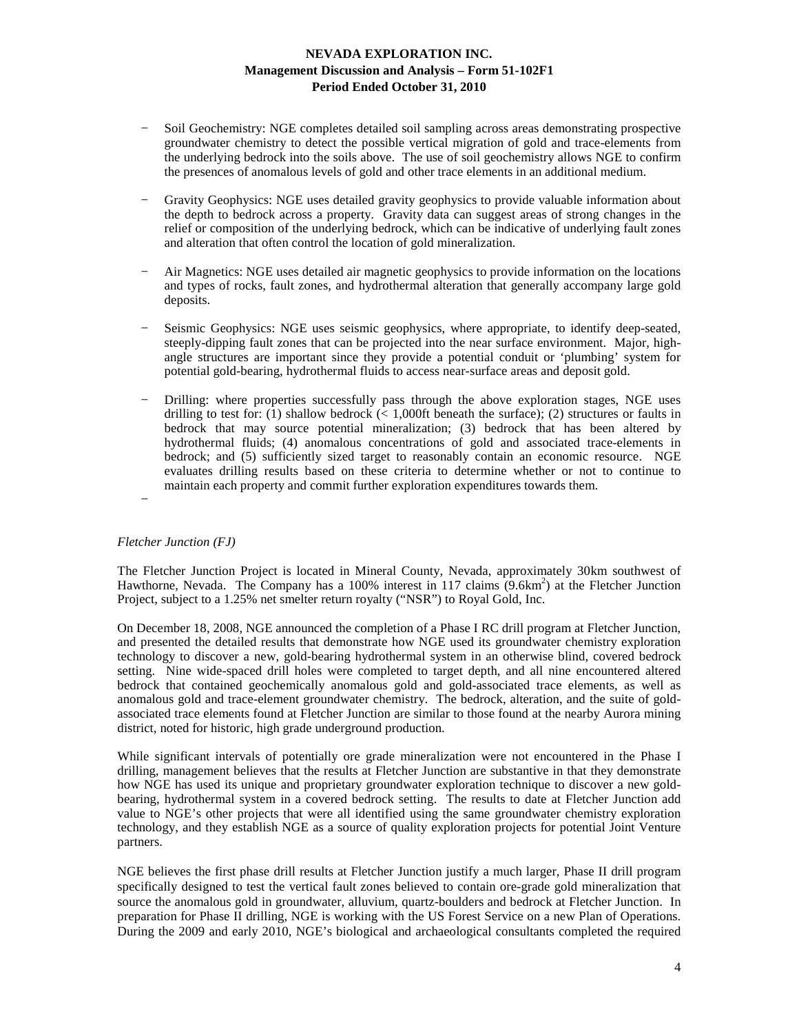- − Soil Geochemistry: NGE completes detailed soil sampling across areas demonstrating prospective groundwater chemistry to detect the possible vertical migration of gold and trace-elements from the underlying bedrock into the soils above. The use of soil geochemistry allows NGE to confirm the presences of anomalous levels of gold and other trace elements in an additional medium.
- Gravity Geophysics: NGE uses detailed gravity geophysics to provide valuable information about the depth to bedrock across a property. Gravity data can suggest areas of strong changes in the relief or composition of the underlying bedrock, which can be indicative of underlying fault zones and alteration that often control the location of gold mineralization.
- Air Magnetics: NGE uses detailed air magnetic geophysics to provide information on the locations and types of rocks, fault zones, and hydrothermal alteration that generally accompany large gold deposits.
- Seismic Geophysics: NGE uses seismic geophysics, where appropriate, to identify deep-seated, steeply-dipping fault zones that can be projected into the near surface environment. Major, highangle structures are important since they provide a potential conduit or 'plumbing' system for potential gold-bearing, hydrothermal fluids to access near-surface areas and deposit gold.
- Drilling: where properties successfully pass through the above exploration stages, NGE uses drilling to test for: (1) shallow bedrock ( $\lt$  1,000ft beneath the surface); (2) structures or faults in bedrock that may source potential mineralization; (3) bedrock that has been altered by hydrothermal fluids; (4) anomalous concentrations of gold and associated trace-elements in bedrock; and (5) sufficiently sized target to reasonably contain an economic resource. NGE evaluates drilling results based on these criteria to determine whether or not to continue to maintain each property and commit further exploration expenditures towards them.
- −

#### *Fletcher Junction (FJ)*

The Fletcher Junction Project is located in Mineral County, Nevada, approximately 30km southwest of Hawthorne, Nevada. The Company has a 100% interest in 117 claims (9.6km<sup>2</sup>) at the Fletcher Junction Project, subject to a 1.25% net smelter return royalty ("NSR") to Royal Gold, Inc.

On December 18, 2008, NGE announced the completion of a Phase I RC drill program at Fletcher Junction, and presented the detailed results that demonstrate how NGE used its groundwater chemistry exploration technology to discover a new, gold-bearing hydrothermal system in an otherwise blind, covered bedrock setting. Nine wide-spaced drill holes were completed to target depth, and all nine encountered altered bedrock that contained geochemically anomalous gold and gold-associated trace elements, as well as anomalous gold and trace-element groundwater chemistry. The bedrock, alteration, and the suite of goldassociated trace elements found at Fletcher Junction are similar to those found at the nearby Aurora mining district, noted for historic, high grade underground production.

While significant intervals of potentially ore grade mineralization were not encountered in the Phase I drilling, management believes that the results at Fletcher Junction are substantive in that they demonstrate how NGE has used its unique and proprietary groundwater exploration technique to discover a new goldbearing, hydrothermal system in a covered bedrock setting. The results to date at Fletcher Junction add value to NGE's other projects that were all identified using the same groundwater chemistry exploration technology, and they establish NGE as a source of quality exploration projects for potential Joint Venture partners.

NGE believes the first phase drill results at Fletcher Junction justify a much larger, Phase II drill program specifically designed to test the vertical fault zones believed to contain ore-grade gold mineralization that source the anomalous gold in groundwater, alluvium, quartz-boulders and bedrock at Fletcher Junction. In preparation for Phase II drilling, NGE is working with the US Forest Service on a new Plan of Operations. During the 2009 and early 2010, NGE's biological and archaeological consultants completed the required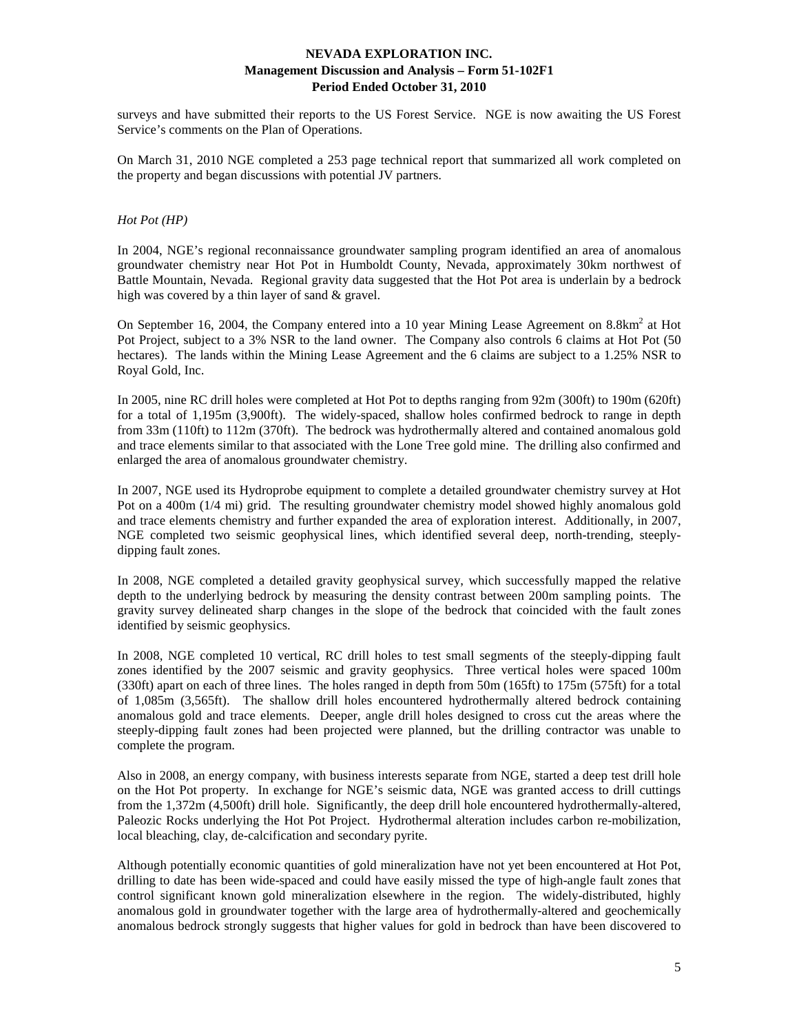surveys and have submitted their reports to the US Forest Service. NGE is now awaiting the US Forest Service's comments on the Plan of Operations.

On March 31, 2010 NGE completed a 253 page technical report that summarized all work completed on the property and began discussions with potential JV partners.

### *Hot Pot (HP)*

In 2004, NGE's regional reconnaissance groundwater sampling program identified an area of anomalous groundwater chemistry near Hot Pot in Humboldt County, Nevada, approximately 30km northwest of Battle Mountain, Nevada. Regional gravity data suggested that the Hot Pot area is underlain by a bedrock high was covered by a thin layer of sand & gravel.

On September 16, 2004, the Company entered into a 10 year Mining Lease Agreement on  $8.8 \text{km}^2$  at Hot Pot Project, subject to a 3% NSR to the land owner. The Company also controls 6 claims at Hot Pot (50 hectares). The lands within the Mining Lease Agreement and the 6 claims are subject to a 1.25% NSR to Royal Gold, Inc.

In 2005, nine RC drill holes were completed at Hot Pot to depths ranging from 92m (300ft) to 190m (620ft) for a total of 1,195m (3,900ft). The widely-spaced, shallow holes confirmed bedrock to range in depth from 33m (110ft) to 112m (370ft). The bedrock was hydrothermally altered and contained anomalous gold and trace elements similar to that associated with the Lone Tree gold mine. The drilling also confirmed and enlarged the area of anomalous groundwater chemistry.

In 2007, NGE used its Hydroprobe equipment to complete a detailed groundwater chemistry survey at Hot Pot on a 400m (1/4 mi) grid. The resulting groundwater chemistry model showed highly anomalous gold and trace elements chemistry and further expanded the area of exploration interest. Additionally, in 2007, NGE completed two seismic geophysical lines, which identified several deep, north-trending, steeplydipping fault zones.

In 2008, NGE completed a detailed gravity geophysical survey, which successfully mapped the relative depth to the underlying bedrock by measuring the density contrast between 200m sampling points. The gravity survey delineated sharp changes in the slope of the bedrock that coincided with the fault zones identified by seismic geophysics.

In 2008, NGE completed 10 vertical, RC drill holes to test small segments of the steeply-dipping fault zones identified by the 2007 seismic and gravity geophysics. Three vertical holes were spaced 100m (330ft) apart on each of three lines. The holes ranged in depth from 50m (165ft) to 175m (575ft) for a total of 1,085m (3,565ft). The shallow drill holes encountered hydrothermally altered bedrock containing anomalous gold and trace elements. Deeper, angle drill holes designed to cross cut the areas where the steeply-dipping fault zones had been projected were planned, but the drilling contractor was unable to complete the program.

Also in 2008, an energy company, with business interests separate from NGE, started a deep test drill hole on the Hot Pot property. In exchange for NGE's seismic data, NGE was granted access to drill cuttings from the 1,372m (4,500ft) drill hole. Significantly, the deep drill hole encountered hydrothermally-altered, Paleozic Rocks underlying the Hot Pot Project. Hydrothermal alteration includes carbon re-mobilization, local bleaching, clay, de-calcification and secondary pyrite.

Although potentially economic quantities of gold mineralization have not yet been encountered at Hot Pot, drilling to date has been wide-spaced and could have easily missed the type of high-angle fault zones that control significant known gold mineralization elsewhere in the region. The widely-distributed, highly anomalous gold in groundwater together with the large area of hydrothermally-altered and geochemically anomalous bedrock strongly suggests that higher values for gold in bedrock than have been discovered to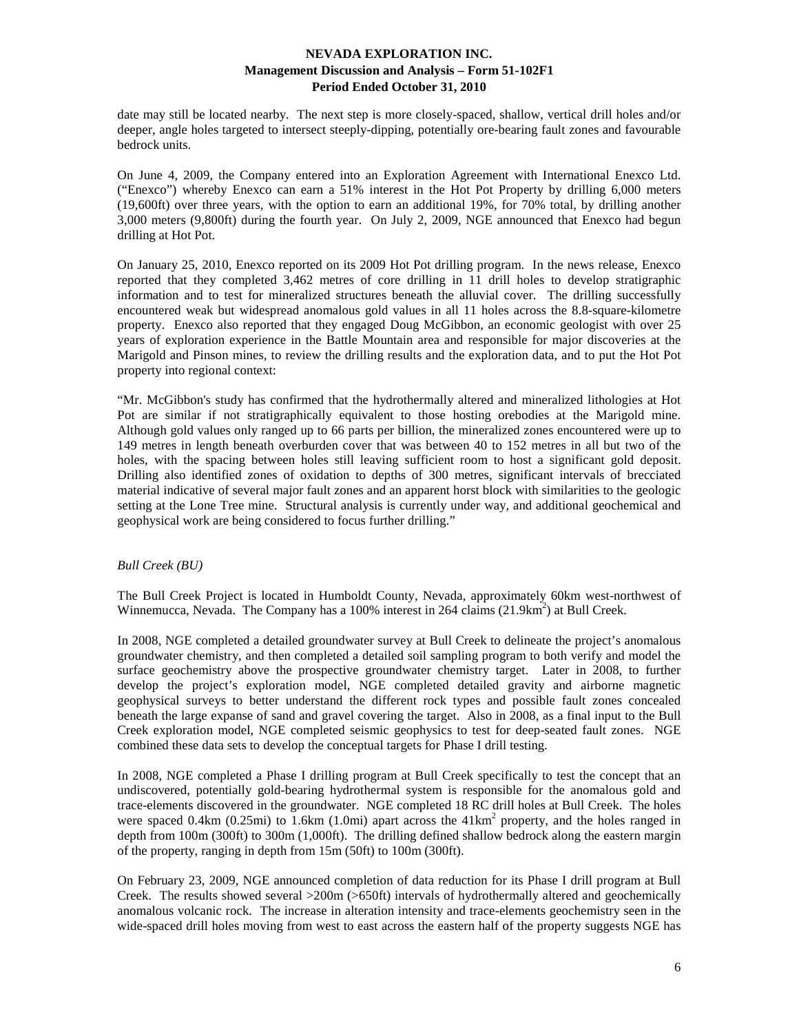date may still be located nearby. The next step is more closely-spaced, shallow, vertical drill holes and/or deeper, angle holes targeted to intersect steeply-dipping, potentially ore-bearing fault zones and favourable bedrock units.

On June 4, 2009, the Company entered into an Exploration Agreement with International Enexco Ltd. ("Enexco") whereby Enexco can earn a 51% interest in the Hot Pot Property by drilling 6,000 meters (19,600ft) over three years, with the option to earn an additional 19%, for 70% total, by drilling another 3,000 meters (9,800ft) during the fourth year. On July 2, 2009, NGE announced that Enexco had begun drilling at Hot Pot.

On January 25, 2010, Enexco reported on its 2009 Hot Pot drilling program. In the news release, Enexco reported that they completed 3,462 metres of core drilling in 11 drill holes to develop stratigraphic information and to test for mineralized structures beneath the alluvial cover. The drilling successfully encountered weak but widespread anomalous gold values in all 11 holes across the 8.8-square-kilometre property. Enexco also reported that they engaged Doug McGibbon, an economic geologist with over 25 years of exploration experience in the Battle Mountain area and responsible for major discoveries at the Marigold and Pinson mines, to review the drilling results and the exploration data, and to put the Hot Pot property into regional context:

"Mr. McGibbon's study has confirmed that the hydrothermally altered and mineralized lithologies at Hot Pot are similar if not stratigraphically equivalent to those hosting orebodies at the Marigold mine. Although gold values only ranged up to 66 parts per billion, the mineralized zones encountered were up to 149 metres in length beneath overburden cover that was between 40 to 152 metres in all but two of the holes, with the spacing between holes still leaving sufficient room to host a significant gold deposit. Drilling also identified zones of oxidation to depths of 300 metres, significant intervals of brecciated material indicative of several major fault zones and an apparent horst block with similarities to the geologic setting at the Lone Tree mine. Structural analysis is currently under way, and additional geochemical and geophysical work are being considered to focus further drilling."

### *Bull Creek (BU)*

The Bull Creek Project is located in Humboldt County, Nevada, approximately 60km west-northwest of Winnemucca, Nevada. The Company has a 100% interest in 264 claims (21.9km<sup>2</sup>) at Bull Creek.

In 2008, NGE completed a detailed groundwater survey at Bull Creek to delineate the project's anomalous groundwater chemistry, and then completed a detailed soil sampling program to both verify and model the surface geochemistry above the prospective groundwater chemistry target. Later in 2008, to further develop the project's exploration model, NGE completed detailed gravity and airborne magnetic geophysical surveys to better understand the different rock types and possible fault zones concealed beneath the large expanse of sand and gravel covering the target. Also in 2008, as a final input to the Bull Creek exploration model, NGE completed seismic geophysics to test for deep-seated fault zones. NGE combined these data sets to develop the conceptual targets for Phase I drill testing.

In 2008, NGE completed a Phase I drilling program at Bull Creek specifically to test the concept that an undiscovered, potentially gold-bearing hydrothermal system is responsible for the anomalous gold and trace-elements discovered in the groundwater. NGE completed 18 RC drill holes at Bull Creek. The holes were spaced  $0.4 \text{km}$  ( $0.25 \text{mi}$ ) to  $1.6 \text{km}$  ( $1.0 \text{mi}$ ) apart across the  $41 \text{km}^2$  property, and the holes ranged in depth from 100m (300ft) to 300m (1,000ft). The drilling defined shallow bedrock along the eastern margin of the property, ranging in depth from 15m (50ft) to 100m (300ft).

On February 23, 2009, NGE announced completion of data reduction for its Phase I drill program at Bull Creek. The results showed several >200m (>650ft) intervals of hydrothermally altered and geochemically anomalous volcanic rock. The increase in alteration intensity and trace-elements geochemistry seen in the wide-spaced drill holes moving from west to east across the eastern half of the property suggests NGE has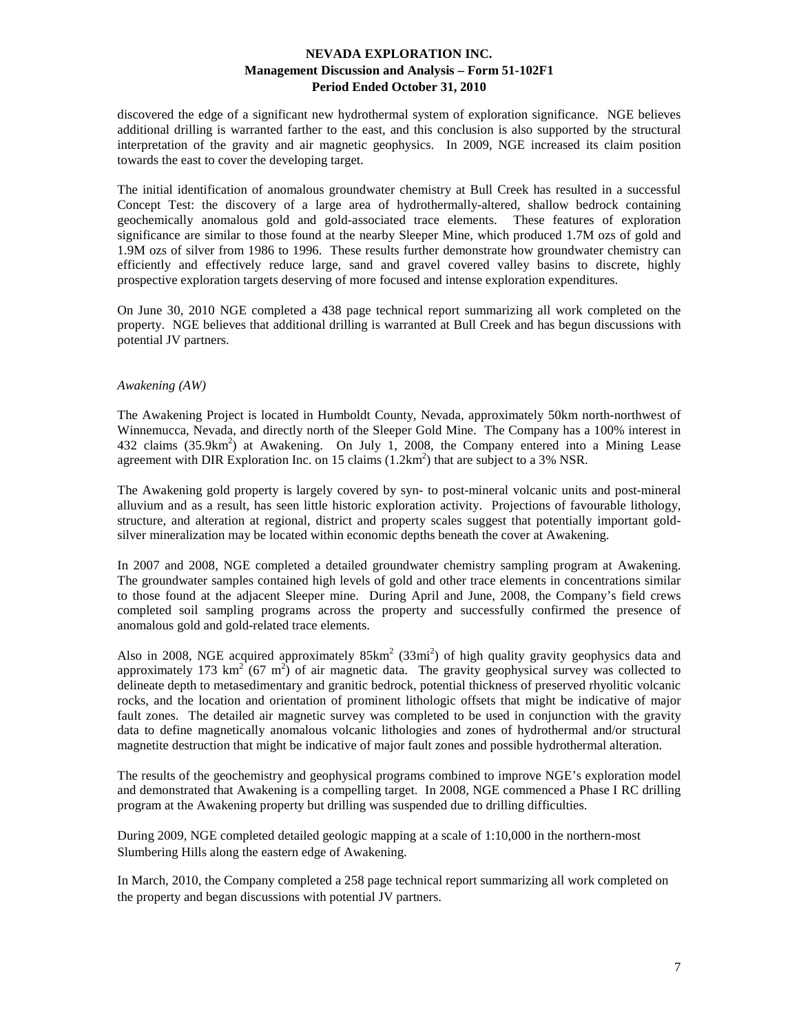discovered the edge of a significant new hydrothermal system of exploration significance. NGE believes additional drilling is warranted farther to the east, and this conclusion is also supported by the structural interpretation of the gravity and air magnetic geophysics. In 2009, NGE increased its claim position towards the east to cover the developing target.

The initial identification of anomalous groundwater chemistry at Bull Creek has resulted in a successful Concept Test: the discovery of a large area of hydrothermally-altered, shallow bedrock containing geochemically anomalous gold and gold-associated trace elements. These features of exploration significance are similar to those found at the nearby Sleeper Mine, which produced 1.7M ozs of gold and 1.9M ozs of silver from 1986 to 1996. These results further demonstrate how groundwater chemistry can efficiently and effectively reduce large, sand and gravel covered valley basins to discrete, highly prospective exploration targets deserving of more focused and intense exploration expenditures.

On June 30, 2010 NGE completed a 438 page technical report summarizing all work completed on the property. NGE believes that additional drilling is warranted at Bull Creek and has begun discussions with potential JV partners.

### *Awakening (AW)*

The Awakening Project is located in Humboldt County, Nevada, approximately 50km north-northwest of Winnemucca, Nevada, and directly north of the Sleeper Gold Mine. The Company has a 100% interest in 432 claims (35.9km<sup>2</sup>) at Awakening. On July 1, 2008, the Company entered into a Mining Lease agreement with DIR Exploration Inc. on 15 claims  $(1.2 \text{km}^2)$  that are subject to a 3% NSR.

The Awakening gold property is largely covered by syn- to post-mineral volcanic units and post-mineral alluvium and as a result, has seen little historic exploration activity. Projections of favourable lithology, structure, and alteration at regional, district and property scales suggest that potentially important goldsilver mineralization may be located within economic depths beneath the cover at Awakening.

In 2007 and 2008, NGE completed a detailed groundwater chemistry sampling program at Awakening. The groundwater samples contained high levels of gold and other trace elements in concentrations similar to those found at the adjacent Sleeper mine. During April and June, 2008, the Company's field crews completed soil sampling programs across the property and successfully confirmed the presence of anomalous gold and gold-related trace elements.

Also in 2008, NGE acquired approximately  $85 \text{km}^2$  (33mi<sup>2</sup>) of high quality gravity geophysics data and approximately 173  $\text{km}^2$  (67 m<sup>2</sup>) of air magnetic data. The gravity geophysical survey was collected to delineate depth to metasedimentary and granitic bedrock, potential thickness of preserved rhyolitic volcanic rocks, and the location and orientation of prominent lithologic offsets that might be indicative of major fault zones. The detailed air magnetic survey was completed to be used in conjunction with the gravity data to define magnetically anomalous volcanic lithologies and zones of hydrothermal and/or structural magnetite destruction that might be indicative of major fault zones and possible hydrothermal alteration.

The results of the geochemistry and geophysical programs combined to improve NGE's exploration model and demonstrated that Awakening is a compelling target. In 2008, NGE commenced a Phase I RC drilling program at the Awakening property but drilling was suspended due to drilling difficulties.

During 2009, NGE completed detailed geologic mapping at a scale of 1:10,000 in the northern-most Slumbering Hills along the eastern edge of Awakening.

In March, 2010, the Company completed a 258 page technical report summarizing all work completed on the property and began discussions with potential JV partners.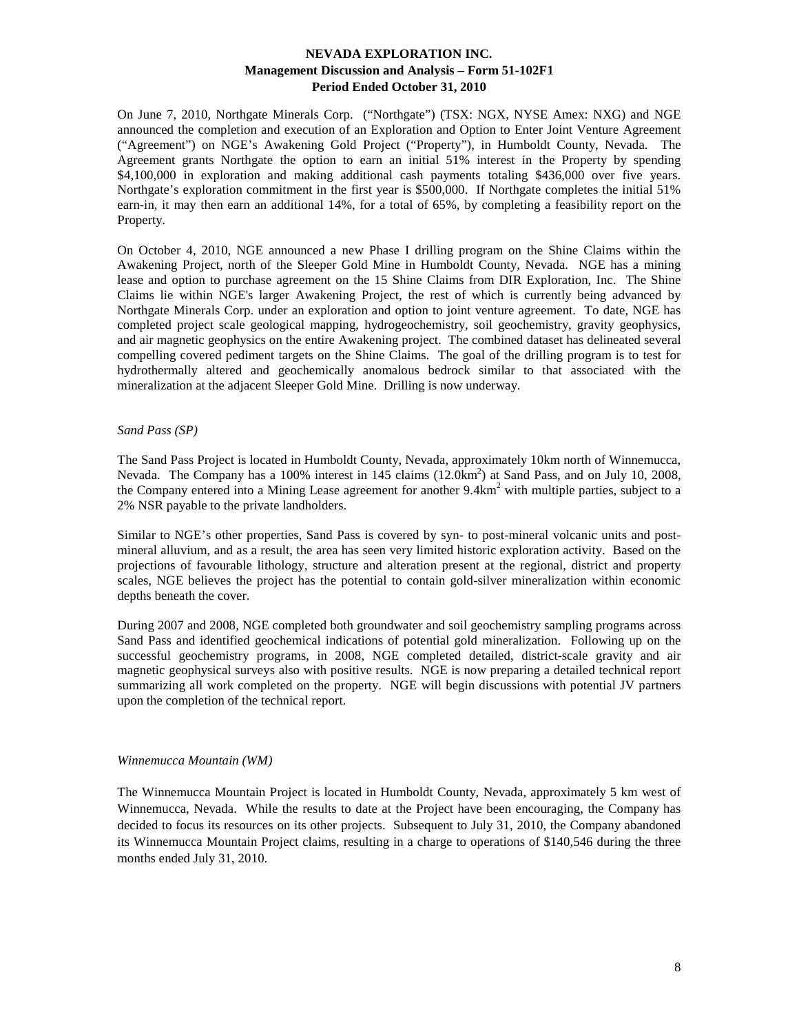On June 7, 2010, Northgate Minerals Corp. ("Northgate") (TSX: NGX, NYSE Amex: NXG) and NGE announced the completion and execution of an Exploration and Option to Enter Joint Venture Agreement ("Agreement") on NGE's Awakening Gold Project ("Property"), in Humboldt County, Nevada. The Agreement grants Northgate the option to earn an initial 51% interest in the Property by spending \$4,100,000 in exploration and making additional cash payments totaling \$436,000 over five years. Northgate's exploration commitment in the first year is \$500,000. If Northgate completes the initial 51% earn-in, it may then earn an additional 14%, for a total of 65%, by completing a feasibility report on the Property.

On October 4, 2010, NGE announced a new Phase I drilling program on the Shine Claims within the Awakening Project, north of the Sleeper Gold Mine in Humboldt County, Nevada. NGE has a mining lease and option to purchase agreement on the 15 Shine Claims from DIR Exploration, Inc. The Shine Claims lie within NGE's larger Awakening Project, the rest of which is currently being advanced by Northgate Minerals Corp. under an exploration and option to joint venture agreement. To date, NGE has completed project scale geological mapping, hydrogeochemistry, soil geochemistry, gravity geophysics, and air magnetic geophysics on the entire Awakening project. The combined dataset has delineated several compelling covered pediment targets on the Shine Claims. The goal of the drilling program is to test for hydrothermally altered and geochemically anomalous bedrock similar to that associated with the mineralization at the adjacent Sleeper Gold Mine. Drilling is now underway.

### *Sand Pass (SP)*

The Sand Pass Project is located in Humboldt County, Nevada, approximately 10km north of Winnemucca, Nevada. The Company has a 100% interest in 145 claims (12.0km<sup>2</sup>) at Sand Pass, and on July 10, 2008, the Company entered into a Mining Lease agreement for another 9.4km<sup>2</sup> with multiple parties, subject to a 2% NSR payable to the private landholders.

Similar to NGE's other properties, Sand Pass is covered by syn- to post-mineral volcanic units and postmineral alluvium, and as a result, the area has seen very limited historic exploration activity. Based on the projections of favourable lithology, structure and alteration present at the regional, district and property scales, NGE believes the project has the potential to contain gold-silver mineralization within economic depths beneath the cover.

During 2007 and 2008, NGE completed both groundwater and soil geochemistry sampling programs across Sand Pass and identified geochemical indications of potential gold mineralization. Following up on the successful geochemistry programs, in 2008, NGE completed detailed, district-scale gravity and air magnetic geophysical surveys also with positive results. NGE is now preparing a detailed technical report summarizing all work completed on the property. NGE will begin discussions with potential JV partners upon the completion of the technical report.

#### *Winnemucca Mountain (WM)*

The Winnemucca Mountain Project is located in Humboldt County, Nevada, approximately 5 km west of Winnemucca, Nevada. While the results to date at the Project have been encouraging, the Company has decided to focus its resources on its other projects. Subsequent to July 31, 2010, the Company abandoned its Winnemucca Mountain Project claims, resulting in a charge to operations of \$140,546 during the three months ended July 31, 2010.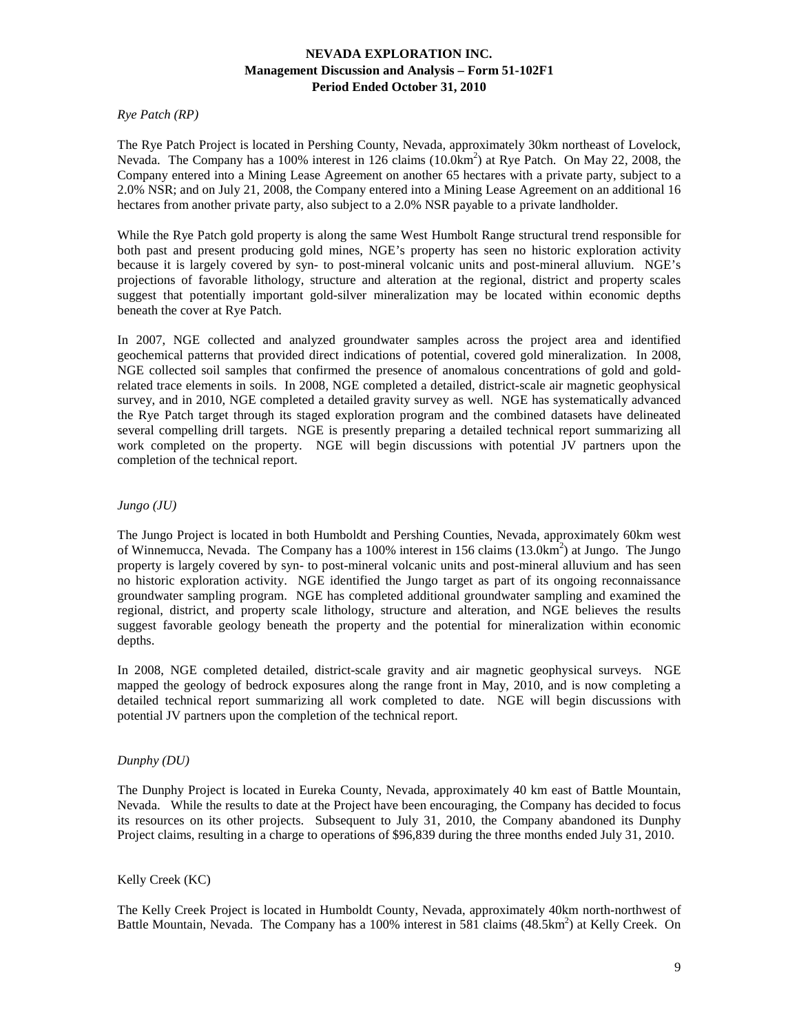### *Rye Patch (RP)*

The Rye Patch Project is located in Pershing County, Nevada, approximately 30km northeast of Lovelock, Nevada. The Company has a 100% interest in 126 claims (10.0km<sup>2</sup>) at Rye Patch. On May 22, 2008, the Company entered into a Mining Lease Agreement on another 65 hectares with a private party, subject to a 2.0% NSR; and on July 21, 2008, the Company entered into a Mining Lease Agreement on an additional 16 hectares from another private party, also subject to a 2.0% NSR payable to a private landholder.

While the Rye Patch gold property is along the same West Humbolt Range structural trend responsible for both past and present producing gold mines, NGE's property has seen no historic exploration activity because it is largely covered by syn- to post-mineral volcanic units and post-mineral alluvium. NGE's projections of favorable lithology, structure and alteration at the regional, district and property scales suggest that potentially important gold-silver mineralization may be located within economic depths beneath the cover at Rye Patch.

In 2007, NGE collected and analyzed groundwater samples across the project area and identified geochemical patterns that provided direct indications of potential, covered gold mineralization. In 2008, NGE collected soil samples that confirmed the presence of anomalous concentrations of gold and goldrelated trace elements in soils. In 2008, NGE completed a detailed, district-scale air magnetic geophysical survey, and in 2010, NGE completed a detailed gravity survey as well. NGE has systematically advanced the Rye Patch target through its staged exploration program and the combined datasets have delineated several compelling drill targets. NGE is presently preparing a detailed technical report summarizing all work completed on the property. NGE will begin discussions with potential JV partners upon the completion of the technical report.

### *Jungo (JU)*

The Jungo Project is located in both Humboldt and Pershing Counties, Nevada, approximately 60km west of Winnemucca, Nevada. The Company has a 100% interest in 156 claims (13.0km<sup>2</sup>) at Jungo. The Jungo property is largely covered by syn- to post-mineral volcanic units and post-mineral alluvium and has seen no historic exploration activity. NGE identified the Jungo target as part of its ongoing reconnaissance groundwater sampling program. NGE has completed additional groundwater sampling and examined the regional, district, and property scale lithology, structure and alteration, and NGE believes the results suggest favorable geology beneath the property and the potential for mineralization within economic depths.

In 2008, NGE completed detailed, district-scale gravity and air magnetic geophysical surveys. NGE mapped the geology of bedrock exposures along the range front in May, 2010, and is now completing a detailed technical report summarizing all work completed to date. NGE will begin discussions with potential JV partners upon the completion of the technical report.

### *Dunphy (DU)*

The Dunphy Project is located in Eureka County, Nevada, approximately 40 km east of Battle Mountain, Nevada. While the results to date at the Project have been encouraging, the Company has decided to focus its resources on its other projects. Subsequent to July 31, 2010, the Company abandoned its Dunphy Project claims, resulting in a charge to operations of \$96,839 during the three months ended July 31, 2010.

#### Kelly Creek (KC)

The Kelly Creek Project is located in Humboldt County, Nevada, approximately 40km north-northwest of Battle Mountain, Nevada. The Company has a 100% interest in 581 claims (48.5km<sup>2</sup>) at Kelly Creek. On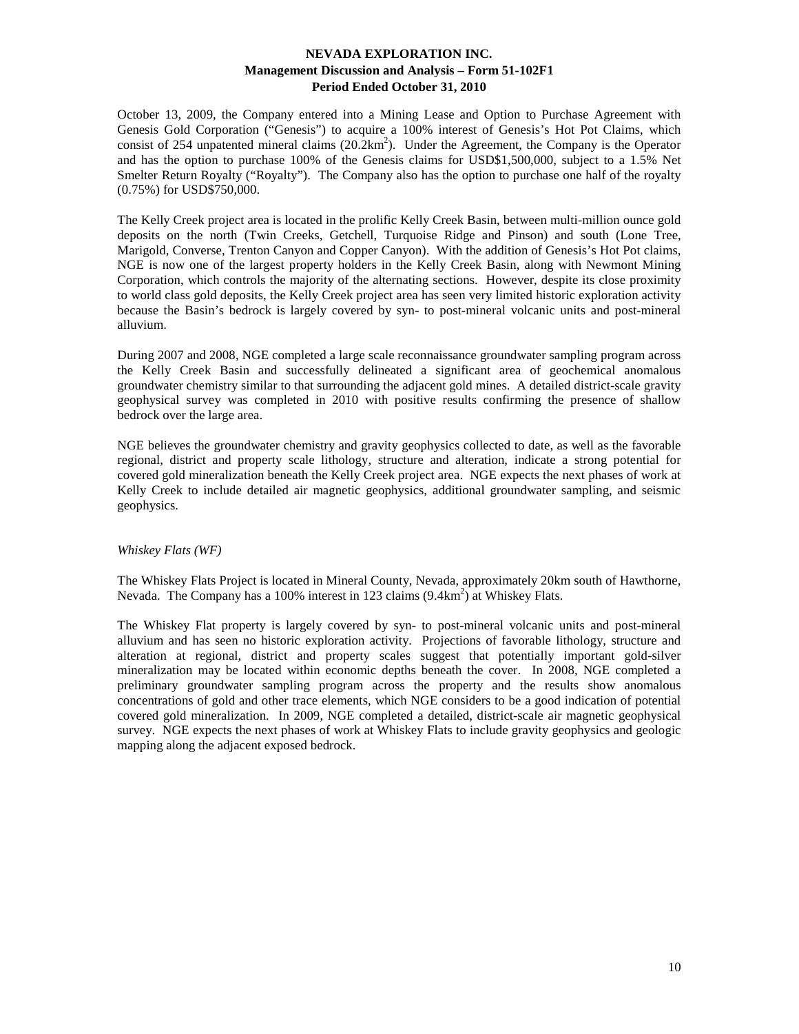October 13, 2009, the Company entered into a Mining Lease and Option to Purchase Agreement with Genesis Gold Corporation ("Genesis") to acquire a 100% interest of Genesis's Hot Pot Claims, which consist of 254 unpatented mineral claims  $(20.2 \text{km}^2)$ . Under the Agreement, the Company is the Operator and has the option to purchase 100% of the Genesis claims for USD\$1,500,000, subject to a 1.5% Net Smelter Return Royalty ("Royalty"). The Company also has the option to purchase one half of the royalty (0.75%) for USD\$750,000.

The Kelly Creek project area is located in the prolific Kelly Creek Basin, between multi-million ounce gold deposits on the north (Twin Creeks, Getchell, Turquoise Ridge and Pinson) and south (Lone Tree, Marigold, Converse, Trenton Canyon and Copper Canyon). With the addition of Genesis's Hot Pot claims, NGE is now one of the largest property holders in the Kelly Creek Basin, along with Newmont Mining Corporation, which controls the majority of the alternating sections. However, despite its close proximity to world class gold deposits, the Kelly Creek project area has seen very limited historic exploration activity because the Basin's bedrock is largely covered by syn- to post-mineral volcanic units and post-mineral alluvium.

During 2007 and 2008, NGE completed a large scale reconnaissance groundwater sampling program across the Kelly Creek Basin and successfully delineated a significant area of geochemical anomalous groundwater chemistry similar to that surrounding the adjacent gold mines. A detailed district-scale gravity geophysical survey was completed in 2010 with positive results confirming the presence of shallow bedrock over the large area.

NGE believes the groundwater chemistry and gravity geophysics collected to date, as well as the favorable regional, district and property scale lithology, structure and alteration, indicate a strong potential for covered gold mineralization beneath the Kelly Creek project area. NGE expects the next phases of work at Kelly Creek to include detailed air magnetic geophysics, additional groundwater sampling, and seismic geophysics.

### *Whiskey Flats (WF)*

The Whiskey Flats Project is located in Mineral County, Nevada, approximately 20km south of Hawthorne, Nevada. The Company has a 100% interest in 123 claims (9.4km<sup>2</sup>) at Whiskey Flats.

The Whiskey Flat property is largely covered by syn- to post-mineral volcanic units and post-mineral alluvium and has seen no historic exploration activity. Projections of favorable lithology, structure and alteration at regional, district and property scales suggest that potentially important gold-silver mineralization may be located within economic depths beneath the cover. In 2008, NGE completed a preliminary groundwater sampling program across the property and the results show anomalous concentrations of gold and other trace elements, which NGE considers to be a good indication of potential covered gold mineralization. In 2009, NGE completed a detailed, district-scale air magnetic geophysical survey. NGE expects the next phases of work at Whiskey Flats to include gravity geophysics and geologic mapping along the adjacent exposed bedrock.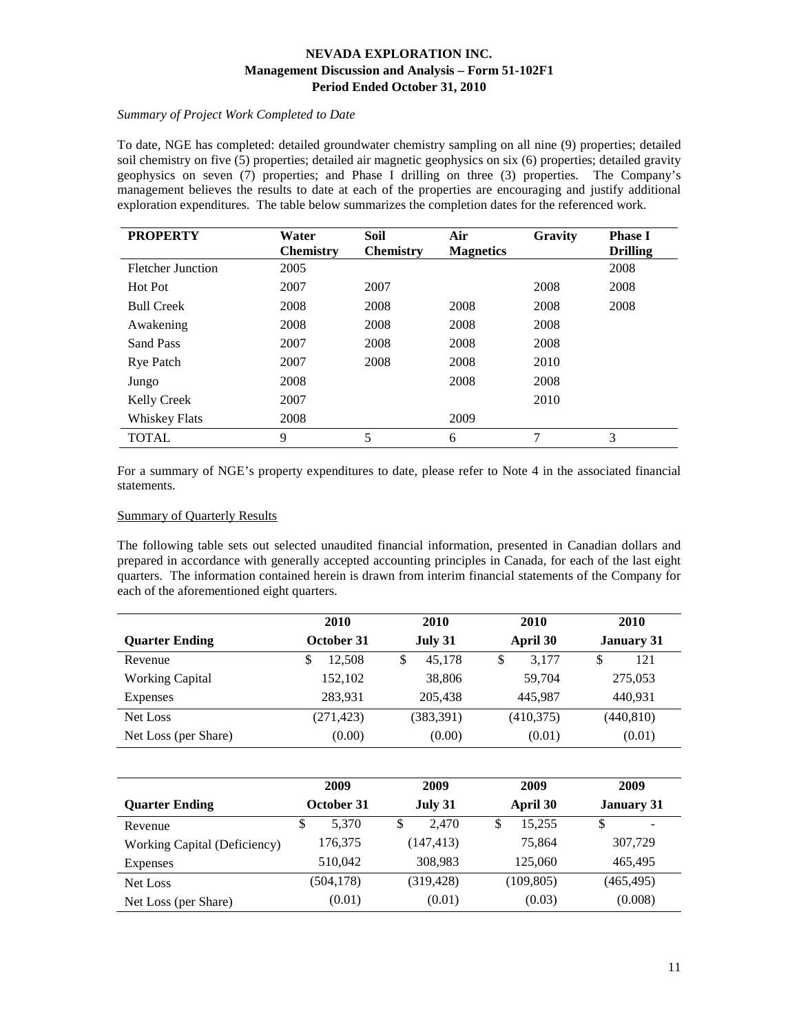# *Summary of Project Work Completed to Date*

To date, NGE has completed: detailed groundwater chemistry sampling on all nine (9) properties; detailed soil chemistry on five (5) properties; detailed air magnetic geophysics on six (6) properties; detailed gravity geophysics on seven (7) properties; and Phase I drilling on three (3) properties. The Company's management believes the results to date at each of the properties are encouraging and justify additional exploration expenditures. The table below summarizes the completion dates for the referenced work.

| <b>PROPERTY</b>          | Water            | <b>Soil</b>      | Air              | Gravity | <b>Phase I</b>  |
|--------------------------|------------------|------------------|------------------|---------|-----------------|
|                          | <b>Chemistry</b> | <b>Chemistry</b> | <b>Magnetics</b> |         | <b>Drilling</b> |
| <b>Fletcher Junction</b> | 2005             |                  |                  |         | 2008            |
| Hot Pot                  | 2007             | 2007             |                  | 2008    | 2008            |
| <b>Bull Creek</b>        | 2008             | 2008             | 2008             | 2008    | 2008            |
| Awakening                | 2008             | 2008             | 2008             | 2008    |                 |
| Sand Pass                | 2007             | 2008             | 2008             | 2008    |                 |
| <b>Rye Patch</b>         | 2007             | 2008             | 2008             | 2010    |                 |
| Jungo                    | 2008             |                  | 2008             | 2008    |                 |
| <b>Kelly Creek</b>       | 2007             |                  |                  | 2010    |                 |
| <b>Whiskey Flats</b>     | 2008             |                  | 2009             |         |                 |
| <b>TOTAL</b>             | 9                | 5                | 6                | 7       | 3               |

For a summary of NGE's property expenditures to date, please refer to Note 4 in the associated financial statements.

### Summary of Quarterly Results

The following table sets out selected unaudited financial information, presented in Canadian dollars and prepared in accordance with generally accepted accounting principles in Canada, for each of the last eight quarters. The information contained herein is drawn from interim financial statements of the Company for each of the aforementioned eight quarters.

|                        | 2010       | 2010        | 2010        | 2010              |
|------------------------|------------|-------------|-------------|-------------------|
| <b>Quarter Ending</b>  | October 31 | July 31     | April 30    | <b>January 31</b> |
| Revenue                | 12.508     | 45.178<br>S | 3.177<br>\$ | 121<br>\$         |
| <b>Working Capital</b> | 152,102    | 38,806      | 59,704      | 275,053           |
| Expenses               | 283.931    | 205.438     | 445.987     | 440,931           |
| Net Loss               | (271, 423) | (383, 391)  | (410, 375)  | (440, 810)        |
| Net Loss (per Share)   | (0.00)     | (0.00)      | (0.01)      | (0.01)            |

|                              | 2009        | 2009       | 2009        | 2009              |
|------------------------------|-------------|------------|-------------|-------------------|
| <b>Quarter Ending</b>        | October 31  | July 31    | April 30    | <b>January 31</b> |
| Revenue                      | \$<br>5.370 | 2.470<br>S | 15,255<br>S | S<br>-            |
| Working Capital (Deficiency) | 176,375     | (147, 413) | 75,864      | 307,729           |
| Expenses                     | 510.042     | 308,983    | 125,060     | 465.495           |
| Net Loss                     | (504, 178)  | (319, 428) | (109, 805)  | (465, 495)        |
| Net Loss (per Share)         | (0.01)      | (0.01)     | (0.03)      | (0.008)           |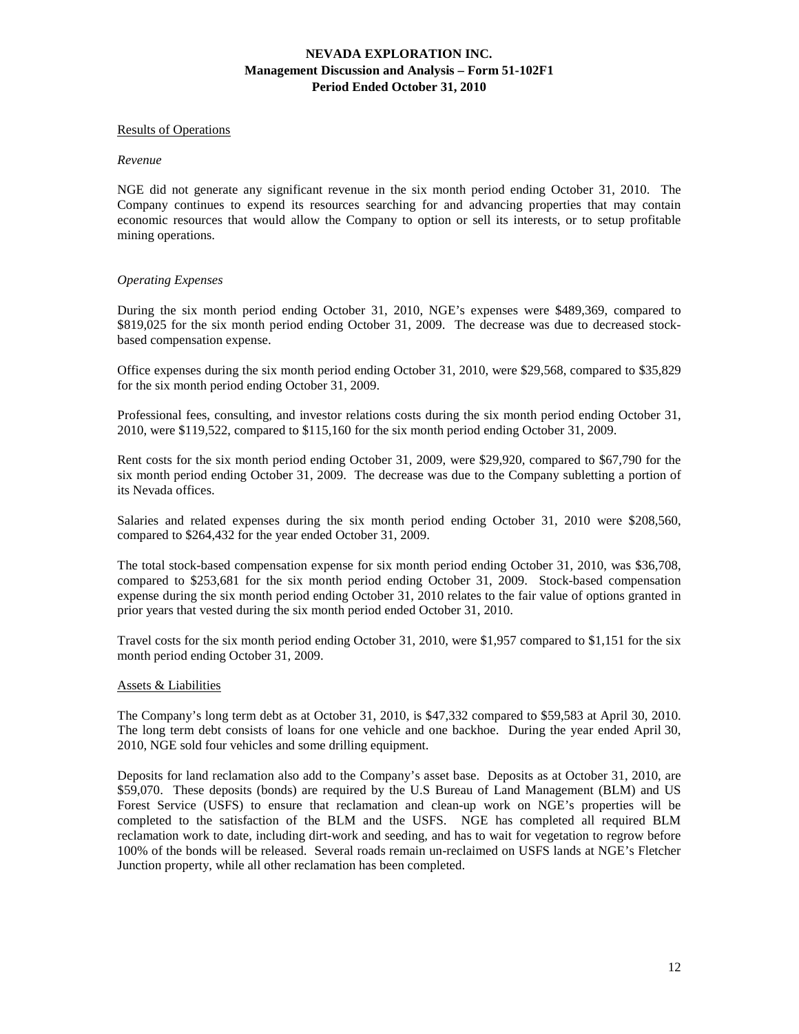#### Results of Operations

#### *Revenue*

NGE did not generate any significant revenue in the six month period ending October 31, 2010. The Company continues to expend its resources searching for and advancing properties that may contain economic resources that would allow the Company to option or sell its interests, or to setup profitable mining operations.

#### *Operating Expenses*

During the six month period ending October 31, 2010, NGE's expenses were \$489,369, compared to \$819,025 for the six month period ending October 31, 2009. The decrease was due to decreased stockbased compensation expense.

Office expenses during the six month period ending October 31, 2010, were \$29,568, compared to \$35,829 for the six month period ending October 31, 2009.

Professional fees, consulting, and investor relations costs during the six month period ending October 31, 2010, were \$119,522, compared to \$115,160 for the six month period ending October 31, 2009.

Rent costs for the six month period ending October 31, 2009, were \$29,920, compared to \$67,790 for the six month period ending October 31, 2009. The decrease was due to the Company subletting a portion of its Nevada offices.

Salaries and related expenses during the six month period ending October 31, 2010 were \$208,560, compared to \$264,432 for the year ended October 31, 2009.

The total stock-based compensation expense for six month period ending October 31, 2010, was \$36,708, compared to \$253,681 for the six month period ending October 31, 2009. Stock-based compensation expense during the six month period ending October 31, 2010 relates to the fair value of options granted in prior years that vested during the six month period ended October 31, 2010.

Travel costs for the six month period ending October 31, 2010, were \$1,957 compared to \$1,151 for the six month period ending October 31, 2009.

#### Assets & Liabilities

The Company's long term debt as at October 31, 2010, is \$47,332 compared to \$59,583 at April 30, 2010. The long term debt consists of loans for one vehicle and one backhoe. During the year ended April 30, 2010, NGE sold four vehicles and some drilling equipment.

Deposits for land reclamation also add to the Company's asset base. Deposits as at October 31, 2010, are \$59,070. These deposits (bonds) are required by the U.S Bureau of Land Management (BLM) and US Forest Service (USFS) to ensure that reclamation and clean-up work on NGE's properties will be completed to the satisfaction of the BLM and the USFS. NGE has completed all required BLM reclamation work to date, including dirt-work and seeding, and has to wait for vegetation to regrow before 100% of the bonds will be released. Several roads remain un-reclaimed on USFS lands at NGE's Fletcher Junction property, while all other reclamation has been completed.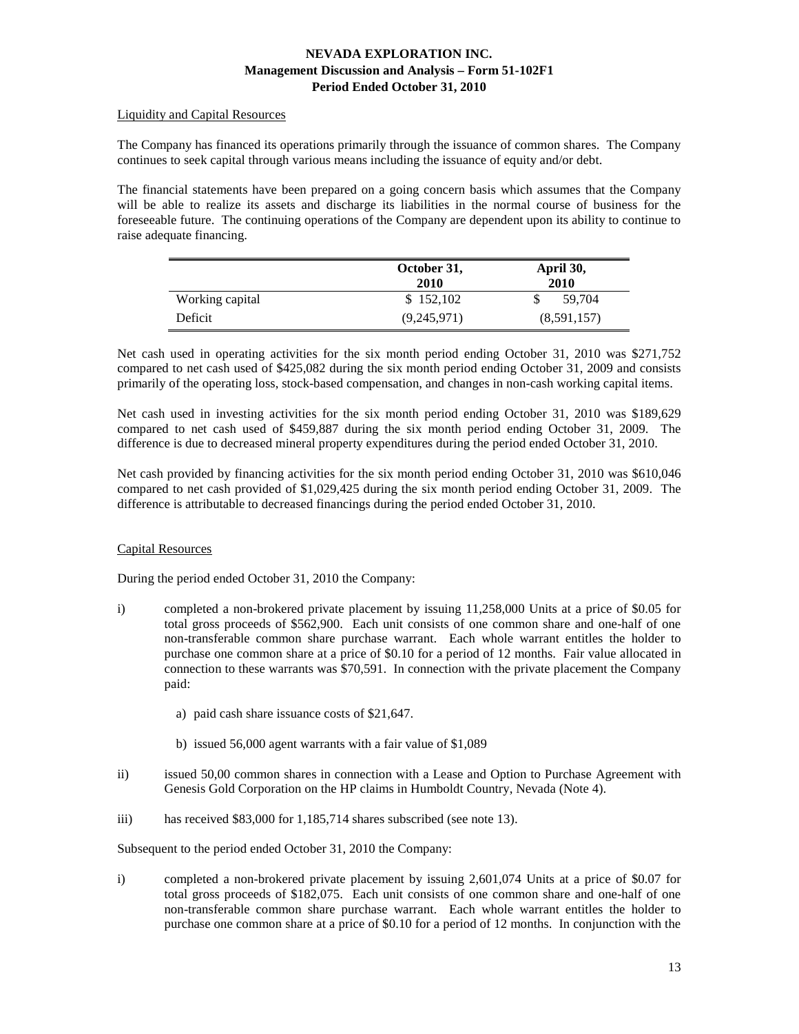### Liquidity and Capital Resources

The Company has financed its operations primarily through the issuance of common shares. The Company continues to seek capital through various means including the issuance of equity and/or debt.

The financial statements have been prepared on a going concern basis which assumes that the Company will be able to realize its assets and discharge its liabilities in the normal course of business for the foreseeable future. The continuing operations of the Company are dependent upon its ability to continue to raise adequate financing.

|                 | October 31,<br>2010 | April 30,<br>2010 |  |
|-----------------|---------------------|-------------------|--|
| Working capital | \$152,102           | 59.704            |  |
| Deficit         | (9,245,971)         | (8,591,157)       |  |

Net cash used in operating activities for the six month period ending October 31, 2010 was \$271,752 compared to net cash used of \$425,082 during the six month period ending October 31, 2009 and consists primarily of the operating loss, stock-based compensation, and changes in non-cash working capital items.

Net cash used in investing activities for the six month period ending October 31, 2010 was \$189,629 compared to net cash used of \$459,887 during the six month period ending October 31, 2009. The difference is due to decreased mineral property expenditures during the period ended October 31, 2010.

Net cash provided by financing activities for the six month period ending October 31, 2010 was \$610,046 compared to net cash provided of \$1,029,425 during the six month period ending October 31, 2009. The difference is attributable to decreased financings during the period ended October 31, 2010.

### Capital Resources

During the period ended October 31, 2010 the Company:

- i) completed a non-brokered private placement by issuing 11,258,000 Units at a price of \$0.05 for total gross proceeds of \$562,900. Each unit consists of one common share and one-half of one non-transferable common share purchase warrant. Each whole warrant entitles the holder to purchase one common share at a price of \$0.10 for a period of 12 months. Fair value allocated in connection to these warrants was \$70,591. In connection with the private placement the Company paid:
	- a) paid cash share issuance costs of \$21,647.
	- b) issued 56,000 agent warrants with a fair value of \$1,089
- ii) issued 50,00 common shares in connection with a Lease and Option to Purchase Agreement with Genesis Gold Corporation on the HP claims in Humboldt Country, Nevada (Note 4).
- iii) has received \$83,000 for 1,185,714 shares subscribed (see note 13).

Subsequent to the period ended October 31, 2010 the Company:

i) completed a non-brokered private placement by issuing 2,601,074 Units at a price of \$0.07 for total gross proceeds of \$182,075. Each unit consists of one common share and one-half of one non-transferable common share purchase warrant. Each whole warrant entitles the holder to purchase one common share at a price of \$0.10 for a period of 12 months. In conjunction with the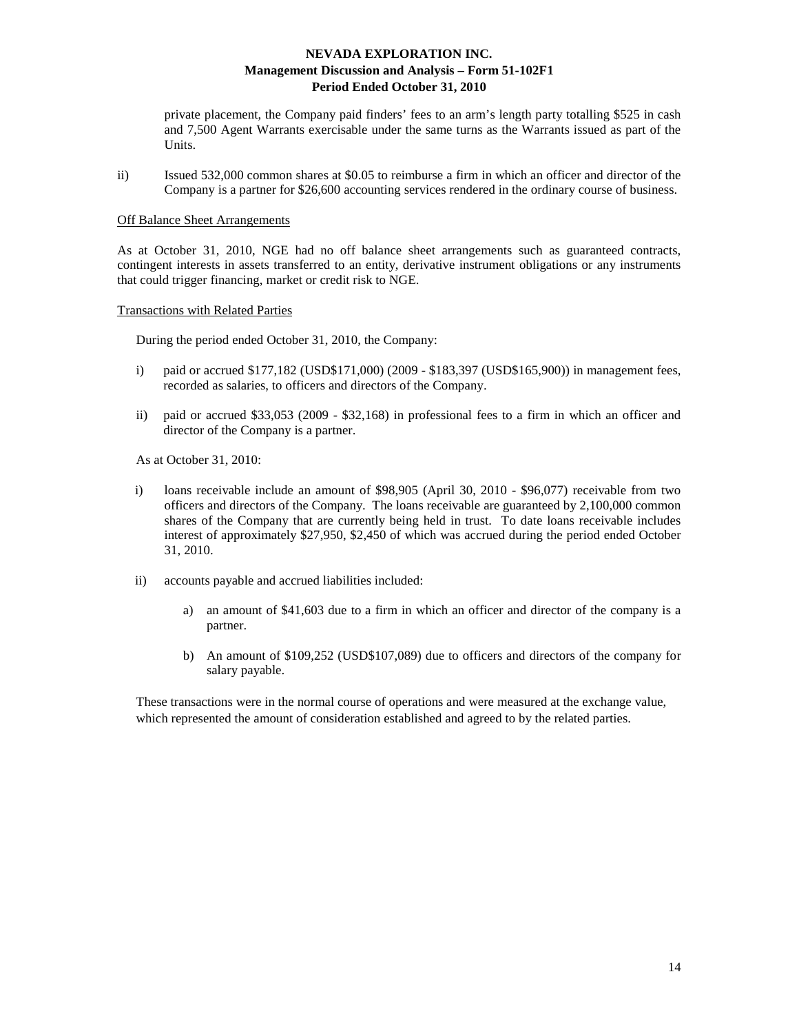private placement, the Company paid finders' fees to an arm's length party totalling \$525 in cash and 7,500 Agent Warrants exercisable under the same turns as the Warrants issued as part of the Units.

ii) Issued 532,000 common shares at \$0.05 to reimburse a firm in which an officer and director of the Company is a partner for \$26,600 accounting services rendered in the ordinary course of business.

#### Off Balance Sheet Arrangements

As at October 31, 2010, NGE had no off balance sheet arrangements such as guaranteed contracts, contingent interests in assets transferred to an entity, derivative instrument obligations or any instruments that could trigger financing, market or credit risk to NGE.

Transactions with Related Parties

During the period ended October 31, 2010, the Company:

- i) paid or accrued \$177,182 (USD\$171,000) (2009 \$183,397 (USD\$165,900)) in management fees, recorded as salaries, to officers and directors of the Company.
- ii) paid or accrued \$33,053 (2009 \$32,168) in professional fees to a firm in which an officer and director of the Company is a partner.

As at October 31, 2010:

- i) loans receivable include an amount of \$98,905 (April 30, 2010 \$96,077) receivable from two officers and directors of the Company. The loans receivable are guaranteed by 2,100,000 common shares of the Company that are currently being held in trust. To date loans receivable includes interest of approximately \$27,950, \$2,450 of which was accrued during the period ended October 31, 2010.
- ii) accounts payable and accrued liabilities included:
	- a) an amount of \$41,603 due to a firm in which an officer and director of the company is a partner.
	- b) An amount of \$109,252 (USD\$107,089) due to officers and directors of the company for salary payable.

These transactions were in the normal course of operations and were measured at the exchange value, which represented the amount of consideration established and agreed to by the related parties.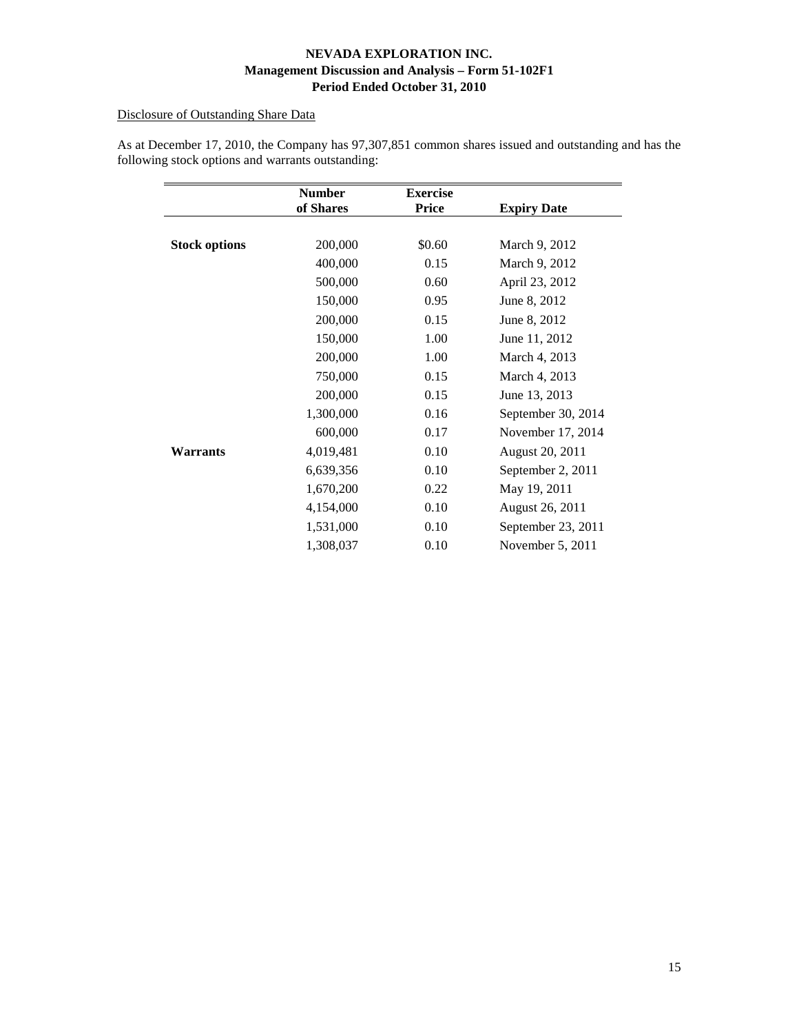# Disclosure of Outstanding Share Data

|                      | <b>Number</b><br>of Shares | <b>Exercise</b><br><b>Price</b> | <b>Expiry Date</b> |
|----------------------|----------------------------|---------------------------------|--------------------|
|                      |                            |                                 |                    |
| <b>Stock options</b> | 200,000                    | \$0.60                          | March 9, 2012      |
|                      | 400,000                    | 0.15                            | March 9, 2012      |
|                      | 500,000                    | 0.60                            | April 23, 2012     |
|                      | 150,000                    | 0.95                            | June 8, 2012       |
|                      | 200,000                    | 0.15                            | June 8, 2012       |
|                      | 150,000                    | 1.00                            | June 11, 2012      |
|                      | 200,000                    | 1.00                            | March 4, 2013      |
|                      | 750,000                    | 0.15                            | March 4, 2013      |
|                      | 200,000                    | 0.15                            | June 13, 2013      |
|                      | 1,300,000                  | 0.16                            | September 30, 2014 |
|                      | 600,000                    | 0.17                            | November 17, 2014  |
| Warrants             | 4,019,481                  | 0.10                            | August 20, 2011    |
|                      | 6,639,356                  | 0.10                            | September 2, 2011  |
|                      | 1,670,200                  | 0.22                            | May 19, 2011       |
|                      | 4,154,000                  | 0.10                            | August 26, 2011    |
|                      | 1,531,000                  | 0.10                            | September 23, 2011 |
|                      | 1,308,037                  | 0.10                            | November $5, 2011$ |

As at December 17, 2010, the Company has 97,307,851 common shares issued and outstanding and has the following stock options and warrants outstanding: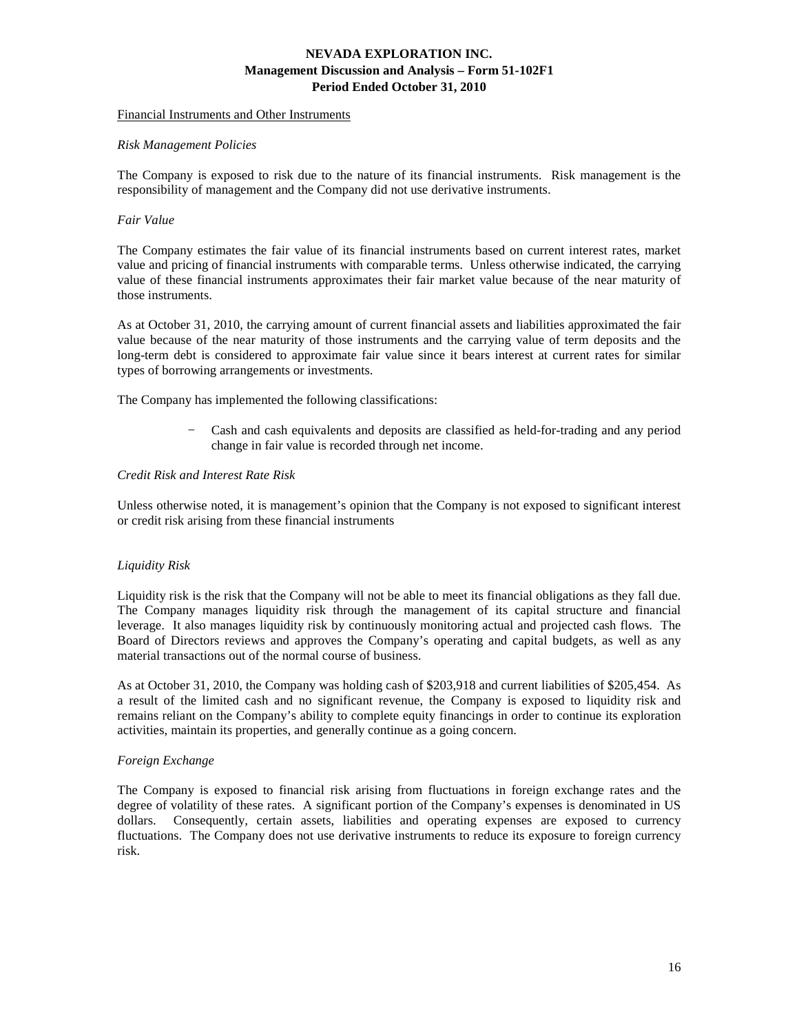#### Financial Instruments and Other Instruments

#### *Risk Management Policies*

The Company is exposed to risk due to the nature of its financial instruments. Risk management is the responsibility of management and the Company did not use derivative instruments.

#### *Fair Value*

The Company estimates the fair value of its financial instruments based on current interest rates, market value and pricing of financial instruments with comparable terms. Unless otherwise indicated, the carrying value of these financial instruments approximates their fair market value because of the near maturity of those instruments.

As at October 31, 2010, the carrying amount of current financial assets and liabilities approximated the fair value because of the near maturity of those instruments and the carrying value of term deposits and the long-term debt is considered to approximate fair value since it bears interest at current rates for similar types of borrowing arrangements or investments.

The Company has implemented the following classifications:

− Cash and cash equivalents and deposits are classified as held-for-trading and any period change in fair value is recorded through net income.

### *Credit Risk and Interest Rate Risk*

Unless otherwise noted, it is management's opinion that the Company is not exposed to significant interest or credit risk arising from these financial instruments

### *Liquidity Risk*

Liquidity risk is the risk that the Company will not be able to meet its financial obligations as they fall due. The Company manages liquidity risk through the management of its capital structure and financial leverage. It also manages liquidity risk by continuously monitoring actual and projected cash flows. The Board of Directors reviews and approves the Company's operating and capital budgets, as well as any material transactions out of the normal course of business.

As at October 31, 2010, the Company was holding cash of \$203,918 and current liabilities of \$205,454. As a result of the limited cash and no significant revenue, the Company is exposed to liquidity risk and remains reliant on the Company's ability to complete equity financings in order to continue its exploration activities, maintain its properties, and generally continue as a going concern.

#### *Foreign Exchange*

The Company is exposed to financial risk arising from fluctuations in foreign exchange rates and the degree of volatility of these rates. A significant portion of the Company's expenses is denominated in US dollars. Consequently, certain assets, liabilities and operating expenses are exposed to currency fluctuations. The Company does not use derivative instruments to reduce its exposure to foreign currency risk.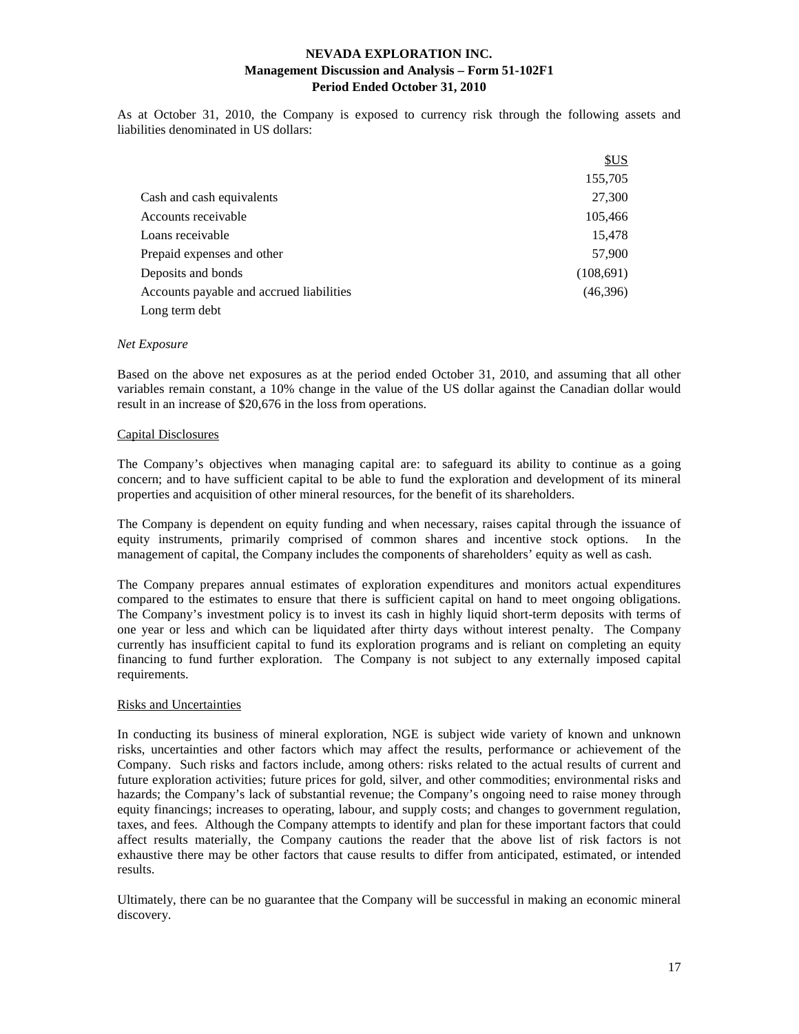As at October 31, 2010, the Company is exposed to currency risk through the following assets and liabilities denominated in US dollars:

|                                          | SUS       |
|------------------------------------------|-----------|
|                                          | 155,705   |
| Cash and cash equivalents                | 27,300    |
| Accounts receivable                      | 105,466   |
| Loans receivable                         | 15,478    |
| Prepaid expenses and other               | 57,900    |
| Deposits and bonds                       | (108,691) |
| Accounts payable and accrued liabilities | (46,396)  |
| Long term debt                           |           |

#### *Net Exposure*

Based on the above net exposures as at the period ended October 31, 2010, and assuming that all other variables remain constant, a 10% change in the value of the US dollar against the Canadian dollar would result in an increase of \$20,676 in the loss from operations.

#### Capital Disclosures

The Company's objectives when managing capital are: to safeguard its ability to continue as a going concern; and to have sufficient capital to be able to fund the exploration and development of its mineral properties and acquisition of other mineral resources, for the benefit of its shareholders.

The Company is dependent on equity funding and when necessary, raises capital through the issuance of equity instruments, primarily comprised of common shares and incentive stock options. In the management of capital, the Company includes the components of shareholders' equity as well as cash.

The Company prepares annual estimates of exploration expenditures and monitors actual expenditures compared to the estimates to ensure that there is sufficient capital on hand to meet ongoing obligations. The Company's investment policy is to invest its cash in highly liquid short-term deposits with terms of one year or less and which can be liquidated after thirty days without interest penalty. The Company currently has insufficient capital to fund its exploration programs and is reliant on completing an equity financing to fund further exploration. The Company is not subject to any externally imposed capital requirements.

#### Risks and Uncertainties

In conducting its business of mineral exploration, NGE is subject wide variety of known and unknown risks, uncertainties and other factors which may affect the results, performance or achievement of the Company. Such risks and factors include, among others: risks related to the actual results of current and future exploration activities; future prices for gold, silver, and other commodities; environmental risks and hazards; the Company's lack of substantial revenue; the Company's ongoing need to raise money through equity financings; increases to operating, labour, and supply costs; and changes to government regulation, taxes, and fees. Although the Company attempts to identify and plan for these important factors that could affect results materially, the Company cautions the reader that the above list of risk factors is not exhaustive there may be other factors that cause results to differ from anticipated, estimated, or intended results.

Ultimately, there can be no guarantee that the Company will be successful in making an economic mineral discovery.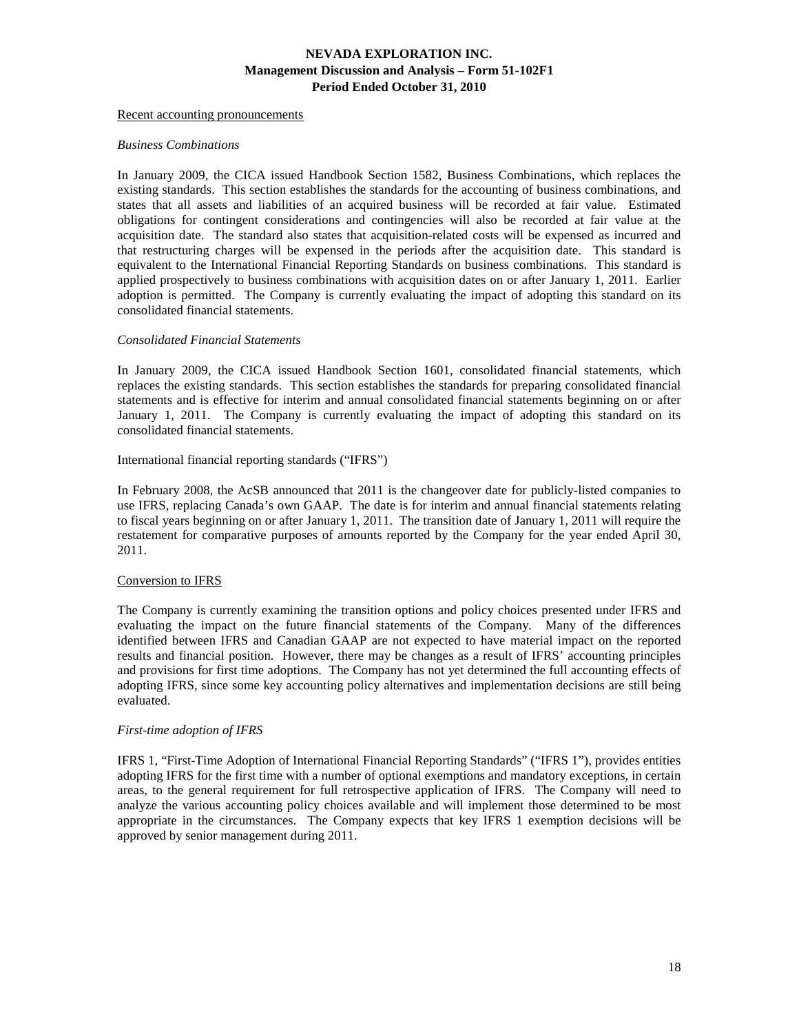Recent accounting pronouncements

#### *Business Combinations*

In January 2009, the CICA issued Handbook Section 1582, Business Combinations, which replaces the existing standards. This section establishes the standards for the accounting of business combinations, and states that all assets and liabilities of an acquired business will be recorded at fair value. Estimated obligations for contingent considerations and contingencies will also be recorded at fair value at the acquisition date. The standard also states that acquisition-related costs will be expensed as incurred and that restructuring charges will be expensed in the periods after the acquisition date. This standard is equivalent to the International Financial Reporting Standards on business combinations. This standard is applied prospectively to business combinations with acquisition dates on or after January 1, 2011. Earlier adoption is permitted. The Company is currently evaluating the impact of adopting this standard on its consolidated financial statements.

#### *Consolidated Financial Statements*

In January 2009, the CICA issued Handbook Section 1601, consolidated financial statements, which replaces the existing standards. This section establishes the standards for preparing consolidated financial statements and is effective for interim and annual consolidated financial statements beginning on or after January 1, 2011. The Company is currently evaluating the impact of adopting this standard on its consolidated financial statements.

### International financial reporting standards ("IFRS")

In February 2008, the AcSB announced that 2011 is the changeover date for publicly-listed companies to use IFRS, replacing Canada's own GAAP. The date is for interim and annual financial statements relating to fiscal years beginning on or after January 1, 2011. The transition date of January 1, 2011 will require the restatement for comparative purposes of amounts reported by the Company for the year ended April 30, 2011.

## Conversion to IFRS

The Company is currently examining the transition options and policy choices presented under IFRS and evaluating the impact on the future financial statements of the Company. Many of the differences identified between IFRS and Canadian GAAP are not expected to have material impact on the reported results and financial position. However, there may be changes as a result of IFRS' accounting principles and provisions for first time adoptions. The Company has not yet determined the full accounting effects of adopting IFRS, since some key accounting policy alternatives and implementation decisions are still being evaluated.

#### *First-time adoption of IFRS*

IFRS 1, "First-Time Adoption of International Financial Reporting Standards" ("IFRS 1"), provides entities adopting IFRS for the first time with a number of optional exemptions and mandatory exceptions, in certain areas, to the general requirement for full retrospective application of IFRS. The Company will need to analyze the various accounting policy choices available and will implement those determined to be most appropriate in the circumstances. The Company expects that key IFRS 1 exemption decisions will be approved by senior management during 2011.